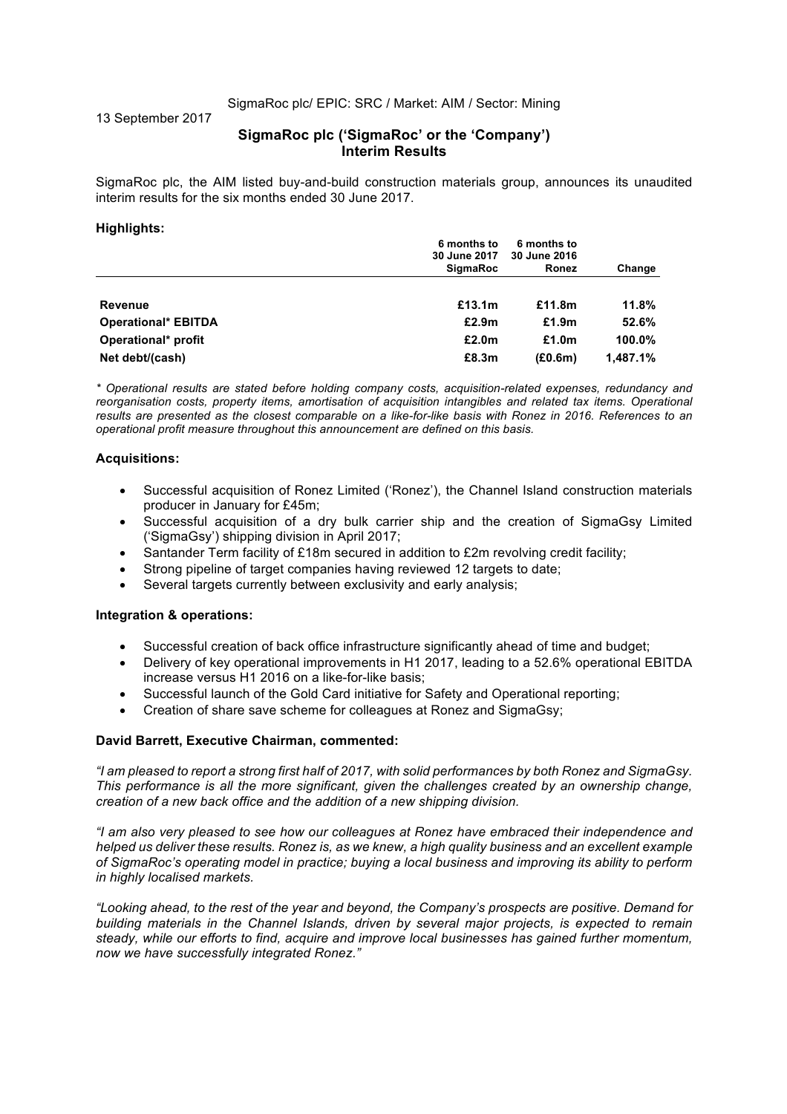SigmaRoc plc/ EPIC: SRC / Market: AIM / Sector: Mining

13 September 2017

# **SigmaRoc plc ('SigmaRoc' or the 'Company') Interim Results**

SigmaRoc plc, the AIM listed buy-and-build construction materials group, announces its unaudited interim results for the six months ended 30 June 2017.

#### **Highlights:**

|                            | 6 months to<br>30 June 2017<br><b>SigmaRoc</b> | 6 months to<br>30 June 2016<br>Ronez | Change   |
|----------------------------|------------------------------------------------|--------------------------------------|----------|
| Revenue                    | £13.1m                                         | £11.8m                               | 11.8%    |
| <b>Operational* EBITDA</b> | £2.9m                                          | £1.9m                                | 52.6%    |
| Operational* profit        | £2.0 <sub>m</sub>                              | £1.0 <sub>m</sub>                    | 100.0%   |
| Net debt/(cash)            | £8.3m                                          | (E0.6m)                              | 1.487.1% |

*\* Operational results are stated before holding company costs, acquisition-related expenses, redundancy and reorganisation costs, property items, amortisation of acquisition intangibles and related tax items. Operational results are presented as the closest comparable on a like-for-like basis with Ronez in 2016. References to an operational profit measure throughout this announcement are defined on this basis.*

#### **Acquisitions:**

- Successful acquisition of Ronez Limited ('Ronez'), the Channel Island construction materials producer in January for £45m;
- Successful acquisition of a dry bulk carrier ship and the creation of SigmaGsy Limited ('SigmaGsy') shipping division in April 2017;
- Santander Term facility of £18m secured in addition to £2m revolving credit facility;
- Strong pipeline of target companies having reviewed 12 targets to date;
- Several targets currently between exclusivity and early analysis;

#### **Integration & operations:**

- Successful creation of back office infrastructure significantly ahead of time and budget;
- Delivery of key operational improvements in H1 2017, leading to a 52.6% operational EBITDA increase versus H1 2016 on a like-for-like basis;
- Successful launch of the Gold Card initiative for Safety and Operational reporting;
- Creation of share save scheme for colleagues at Ronez and SigmaGsy;

#### **David Barrett, Executive Chairman, commented:**

*"I am pleased to report a strong first half of 2017, with solid performances by both Ronez and SigmaGsy. This performance is all the more significant, given the challenges created by an ownership change, creation of a new back office and the addition of a new shipping division.* 

*"I am also very pleased to see how our colleagues at Ronez have embraced their independence and helped us deliver these results. Ronez is, as we knew, a high quality business and an excellent example of SigmaRoc's operating model in practice; buying a local business and improving its ability to perform in highly localised markets.*

*"Looking ahead, to the rest of the year and beyond, the Company's prospects are positive. Demand for building materials in the Channel Islands, driven by several major projects, is expected to remain steady, while our efforts to find, acquire and improve local businesses has gained further momentum, now we have successfully integrated Ronez."*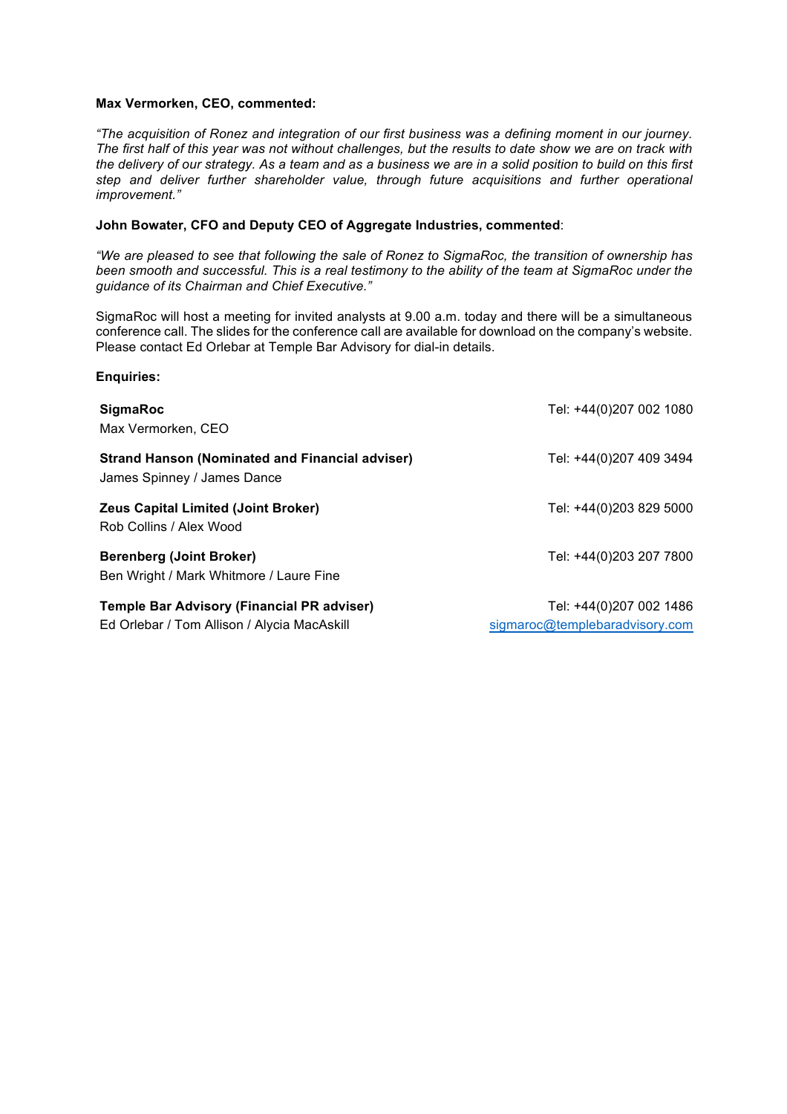#### **Max Vermorken, CEO, commented:**

**Enquiries:**

*"The acquisition of Ronez and integration of our first business was a defining moment in our journey. The first half of this year was not without challenges, but the results to date show we are on track with the delivery of our strategy. As a team and as a business we are in a solid position to build on this first step and deliver further shareholder value, through future acquisitions and further operational improvement."*

### **John Bowater, CFO and Deputy CEO of Aggregate Industries, commented**:

*"We are pleased to see that following the sale of Ronez to SigmaRoc, the transition of ownership has been smooth and successful. This is a real testimony to the ability of the team at SigmaRoc under the guidance of its Chairman and Chief Executive."*

SigmaRoc will host a meeting for invited analysts at 9.00 a.m. today and there will be a simultaneous conference call. The slides for the conference call are available for download on the company's website. Please contact Ed Orlebar at Temple Bar Advisory for dial-in details.

| <b>SigmaRoc</b>                                                                                  | Tel: +44(0)207 002 1080                                   |
|--------------------------------------------------------------------------------------------------|-----------------------------------------------------------|
| Max Vermorken, CEO                                                                               |                                                           |
| <b>Strand Hanson (Nominated and Financial adviser)</b><br>James Spinney / James Dance            | Tel: +44(0)207 409 3494                                   |
| <b>Zeus Capital Limited (Joint Broker)</b><br>Rob Collins / Alex Wood                            | Tel: +44(0)203 829 5000                                   |
| <b>Berenberg (Joint Broker)</b><br>Ben Wright / Mark Whitmore / Laure Fine                       | Tel: +44(0)203 207 7800                                   |
| <b>Temple Bar Advisory (Financial PR adviser)</b><br>Ed Orlebar / Tom Allison / Alycia MacAskill | Tel: +44(0)207 002 1486<br>sigmaroc@templebaradvisory.com |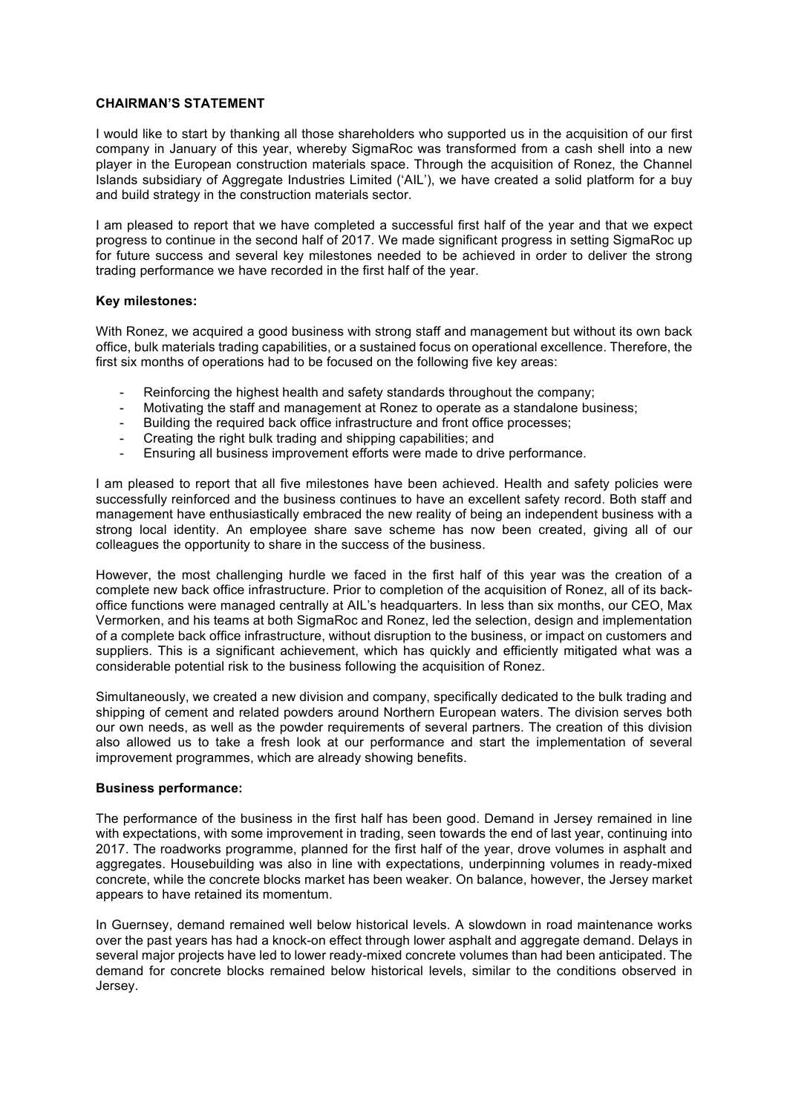### **CHAIRMAN'S STATEMENT**

I would like to start by thanking all those shareholders who supported us in the acquisition of our first company in January of this year, whereby SigmaRoc was transformed from a cash shell into a new player in the European construction materials space. Through the acquisition of Ronez, the Channel Islands subsidiary of Aggregate Industries Limited ('AIL'), we have created a solid platform for a buy and build strategy in the construction materials sector.

I am pleased to report that we have completed a successful first half of the year and that we expect progress to continue in the second half of 2017. We made significant progress in setting SigmaRoc up for future success and several key milestones needed to be achieved in order to deliver the strong trading performance we have recorded in the first half of the year.

#### **Key milestones:**

With Ronez, we acquired a good business with strong staff and management but without its own back office, bulk materials trading capabilities, or a sustained focus on operational excellence. Therefore, the first six months of operations had to be focused on the following five key areas:

- Reinforcing the highest health and safety standards throughout the company;
- Motivating the staff and management at Ronez to operate as a standalone business;
- Building the required back office infrastructure and front office processes;
- Creating the right bulk trading and shipping capabilities; and
- Ensuring all business improvement efforts were made to drive performance.

I am pleased to report that all five milestones have been achieved. Health and safety policies were successfully reinforced and the business continues to have an excellent safety record. Both staff and management have enthusiastically embraced the new reality of being an independent business with a strong local identity. An employee share save scheme has now been created, giving all of our colleagues the opportunity to share in the success of the business.

However, the most challenging hurdle we faced in the first half of this year was the creation of a complete new back office infrastructure. Prior to completion of the acquisition of Ronez, all of its backoffice functions were managed centrally at AIL's headquarters. In less than six months, our CEO, Max Vermorken, and his teams at both SigmaRoc and Ronez, led the selection, design and implementation of a complete back office infrastructure, without disruption to the business, or impact on customers and suppliers. This is a significant achievement, which has quickly and efficiently mitigated what was a considerable potential risk to the business following the acquisition of Ronez.

Simultaneously, we created a new division and company, specifically dedicated to the bulk trading and shipping of cement and related powders around Northern European waters. The division serves both our own needs, as well as the powder requirements of several partners. The creation of this division also allowed us to take a fresh look at our performance and start the implementation of several improvement programmes, which are already showing benefits.

#### **Business performance:**

The performance of the business in the first half has been good. Demand in Jersey remained in line with expectations, with some improvement in trading, seen towards the end of last year, continuing into 2017. The roadworks programme, planned for the first half of the year, drove volumes in asphalt and aggregates. Housebuilding was also in line with expectations, underpinning volumes in ready-mixed concrete, while the concrete blocks market has been weaker. On balance, however, the Jersey market appears to have retained its momentum.

In Guernsey, demand remained well below historical levels. A slowdown in road maintenance works over the past years has had a knock-on effect through lower asphalt and aggregate demand. Delays in several major projects have led to lower ready-mixed concrete volumes than had been anticipated. The demand for concrete blocks remained below historical levels, similar to the conditions observed in Jersey.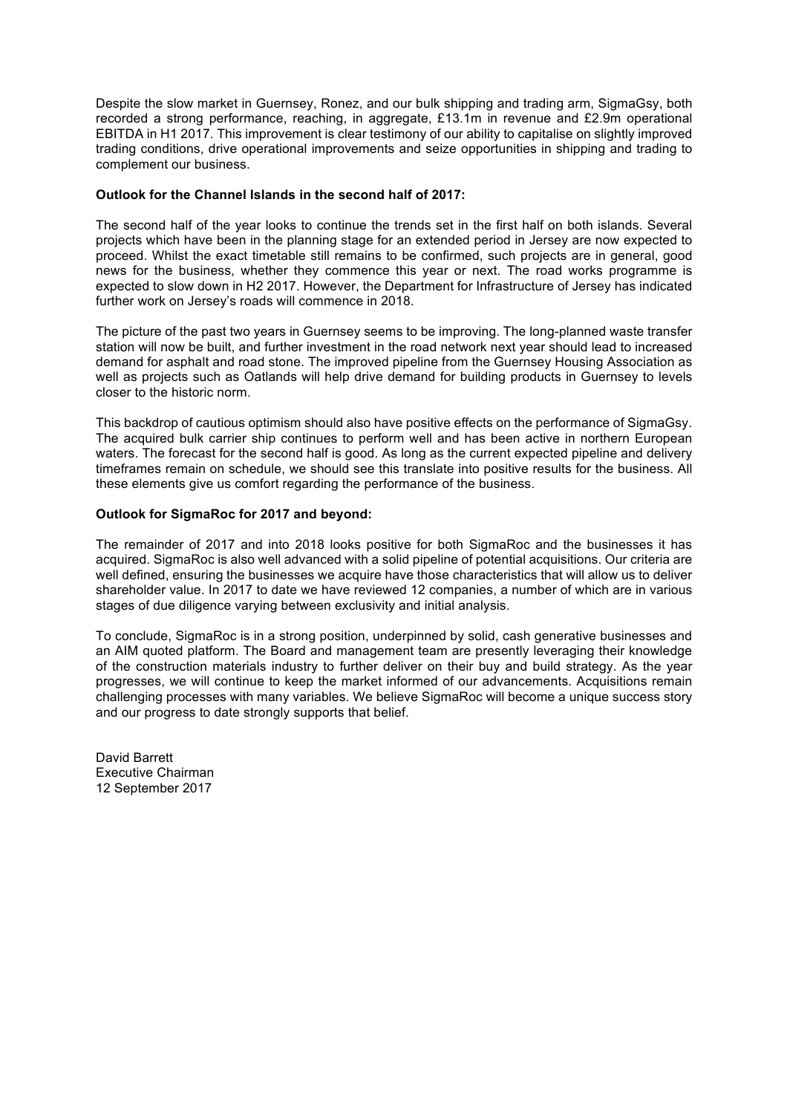Despite the slow market in Guernsey, Ronez, and our bulk shipping and trading arm, SigmaGsy, both recorded a strong performance, reaching, in aggregate, £13.1m in revenue and £2.9m operational EBITDA in H1 2017. This improvement is clear testimony of our ability to capitalise on slightly improved trading conditions, drive operational improvements and seize opportunities in shipping and trading to complement our business.

### **Outlook for the Channel Islands in the second half of 2017:**

The second half of the year looks to continue the trends set in the first half on both islands. Several projects which have been in the planning stage for an extended period in Jersey are now expected to proceed. Whilst the exact timetable still remains to be confirmed, such projects are in general, good news for the business, whether they commence this year or next. The road works programme is expected to slow down in H2 2017. However, the Department for Infrastructure of Jersey has indicated further work on Jersey's roads will commence in 2018.

The picture of the past two years in Guernsey seems to be improving. The long-planned waste transfer station will now be built, and further investment in the road network next year should lead to increased demand for asphalt and road stone. The improved pipeline from the Guernsey Housing Association as well as projects such as Oatlands will help drive demand for building products in Guernsey to levels closer to the historic norm.

This backdrop of cautious optimism should also have positive effects on the performance of SigmaGsy. The acquired bulk carrier ship continues to perform well and has been active in northern European waters. The forecast for the second half is good. As long as the current expected pipeline and delivery timeframes remain on schedule, we should see this translate into positive results for the business. All these elements give us comfort regarding the performance of the business.

## **Outlook for SigmaRoc for 2017 and beyond:**

The remainder of 2017 and into 2018 looks positive for both SigmaRoc and the businesses it has acquired. SigmaRoc is also well advanced with a solid pipeline of potential acquisitions. Our criteria are well defined, ensuring the businesses we acquire have those characteristics that will allow us to deliver shareholder value. In 2017 to date we have reviewed 12 companies, a number of which are in various stages of due diligence varying between exclusivity and initial analysis.

To conclude, SigmaRoc is in a strong position, underpinned by solid, cash generative businesses and an AIM quoted platform. The Board and management team are presently leveraging their knowledge of the construction materials industry to further deliver on their buy and build strategy. As the year progresses, we will continue to keep the market informed of our advancements. Acquisitions remain challenging processes with many variables. We believe SigmaRoc will become a unique success story and our progress to date strongly supports that belief.

David Barrett Executive Chairman 12 September 2017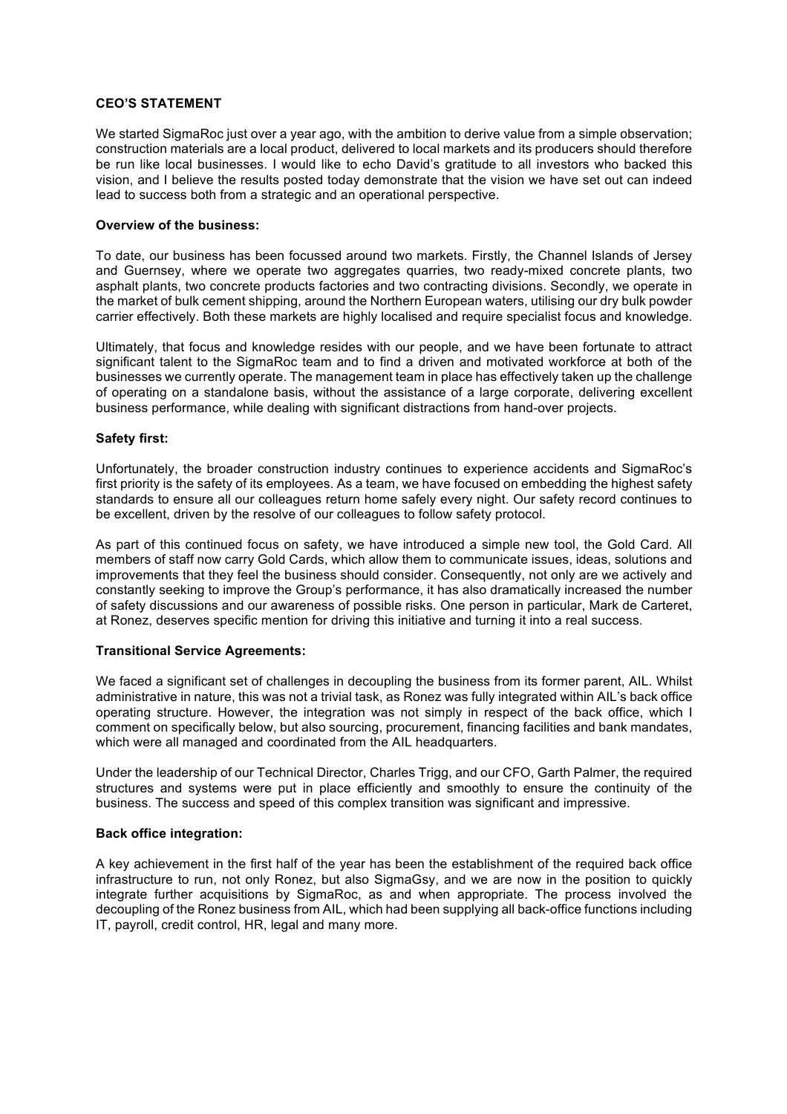### **CEO'S STATEMENT**

We started SigmaRoc just over a year ago, with the ambition to derive value from a simple observation; construction materials are a local product, delivered to local markets and its producers should therefore be run like local businesses. I would like to echo David's gratitude to all investors who backed this vision, and I believe the results posted today demonstrate that the vision we have set out can indeed lead to success both from a strategic and an operational perspective.

# **Overview of the business:**

To date, our business has been focussed around two markets. Firstly, the Channel Islands of Jersey and Guernsey, where we operate two aggregates quarries, two ready-mixed concrete plants, two asphalt plants, two concrete products factories and two contracting divisions. Secondly, we operate in the market of bulk cement shipping, around the Northern European waters, utilising our dry bulk powder carrier effectively. Both these markets are highly localised and require specialist focus and knowledge.

Ultimately, that focus and knowledge resides with our people, and we have been fortunate to attract significant talent to the SigmaRoc team and to find a driven and motivated workforce at both of the businesses we currently operate. The management team in place has effectively taken up the challenge of operating on a standalone basis, without the assistance of a large corporate, delivering excellent business performance, while dealing with significant distractions from hand-over projects.

## **Safety first:**

Unfortunately, the broader construction industry continues to experience accidents and SigmaRoc's first priority is the safety of its employees. As a team, we have focused on embedding the highest safety standards to ensure all our colleagues return home safely every night. Our safety record continues to be excellent, driven by the resolve of our colleagues to follow safety protocol.

As part of this continued focus on safety, we have introduced a simple new tool, the Gold Card. All members of staff now carry Gold Cards, which allow them to communicate issues, ideas, solutions and improvements that they feel the business should consider. Consequently, not only are we actively and constantly seeking to improve the Group's performance, it has also dramatically increased the number of safety discussions and our awareness of possible risks. One person in particular, Mark de Carteret, at Ronez, deserves specific mention for driving this initiative and turning it into a real success.

#### **Transitional Service Agreements:**

We faced a significant set of challenges in decoupling the business from its former parent, AIL. Whilst administrative in nature, this was not a trivial task, as Ronez was fully integrated within AIL's back office operating structure. However, the integration was not simply in respect of the back office, which I comment on specifically below, but also sourcing, procurement, financing facilities and bank mandates, which were all managed and coordinated from the AIL headquarters.

Under the leadership of our Technical Director, Charles Trigg, and our CFO, Garth Palmer, the required structures and systems were put in place efficiently and smoothly to ensure the continuity of the business. The success and speed of this complex transition was significant and impressive.

#### **Back office integration:**

A key achievement in the first half of the year has been the establishment of the required back office infrastructure to run, not only Ronez, but also SigmaGsy, and we are now in the position to quickly integrate further acquisitions by SigmaRoc, as and when appropriate. The process involved the decoupling of the Ronez business from AIL, which had been supplying all back-office functions including IT, payroll, credit control, HR, legal and many more.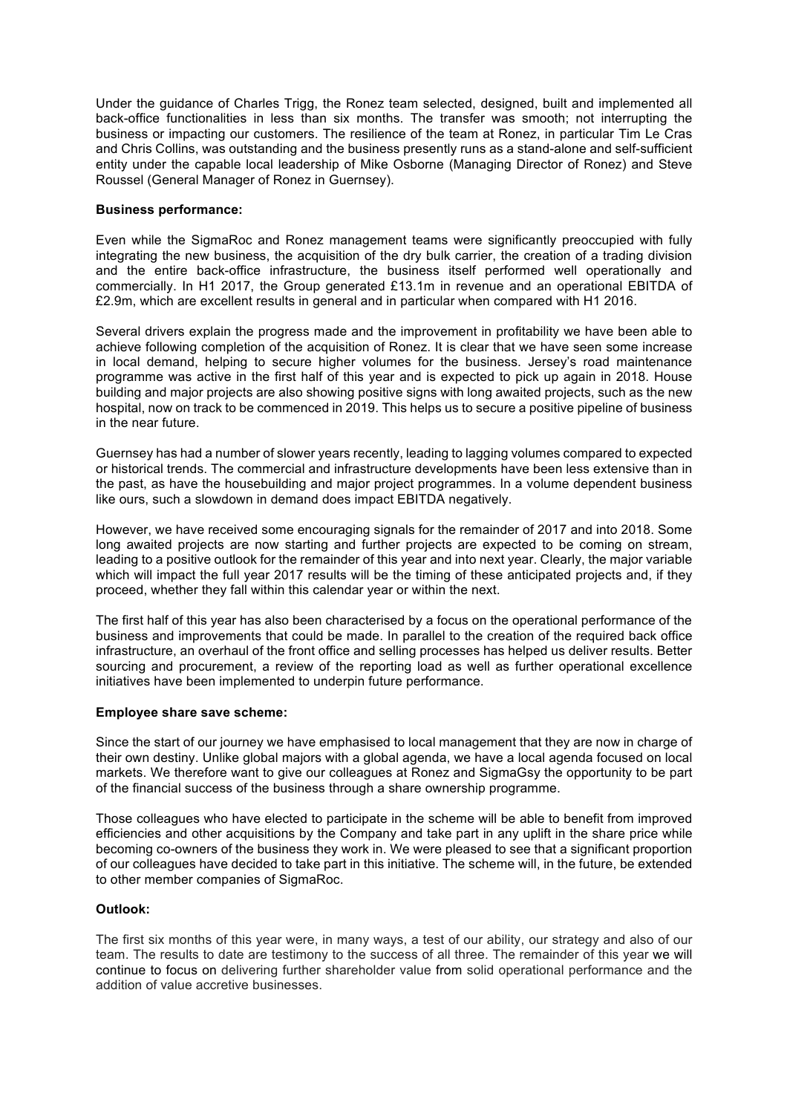Under the guidance of Charles Trigg, the Ronez team selected, designed, built and implemented all back-office functionalities in less than six months. The transfer was smooth; not interrupting the business or impacting our customers. The resilience of the team at Ronez, in particular Tim Le Cras and Chris Collins, was outstanding and the business presently runs as a stand-alone and self-sufficient entity under the capable local leadership of Mike Osborne (Managing Director of Ronez) and Steve Roussel (General Manager of Ronez in Guernsey).

## **Business performance:**

Even while the SigmaRoc and Ronez management teams were significantly preoccupied with fully integrating the new business, the acquisition of the dry bulk carrier, the creation of a trading division and the entire back-office infrastructure, the business itself performed well operationally and commercially. In H1 2017, the Group generated £13.1m in revenue and an operational EBITDA of £2.9m, which are excellent results in general and in particular when compared with H1 2016.

Several drivers explain the progress made and the improvement in profitability we have been able to achieve following completion of the acquisition of Ronez. It is clear that we have seen some increase in local demand, helping to secure higher volumes for the business. Jersey's road maintenance programme was active in the first half of this year and is expected to pick up again in 2018. House building and major projects are also showing positive signs with long awaited projects, such as the new hospital, now on track to be commenced in 2019. This helps us to secure a positive pipeline of business in the near future.

Guernsey has had a number of slower years recently, leading to lagging volumes compared to expected or historical trends. The commercial and infrastructure developments have been less extensive than in the past, as have the housebuilding and major project programmes. In a volume dependent business like ours, such a slowdown in demand does impact EBITDA negatively.

However, we have received some encouraging signals for the remainder of 2017 and into 2018. Some long awaited projects are now starting and further projects are expected to be coming on stream, leading to a positive outlook for the remainder of this year and into next year. Clearly, the major variable which will impact the full year 2017 results will be the timing of these anticipated projects and, if they proceed, whether they fall within this calendar year or within the next.

The first half of this year has also been characterised by a focus on the operational performance of the business and improvements that could be made. In parallel to the creation of the required back office infrastructure, an overhaul of the front office and selling processes has helped us deliver results. Better sourcing and procurement, a review of the reporting load as well as further operational excellence initiatives have been implemented to underpin future performance.

## **Employee share save scheme:**

Since the start of our journey we have emphasised to local management that they are now in charge of their own destiny. Unlike global majors with a global agenda, we have a local agenda focused on local markets. We therefore want to give our colleagues at Ronez and SigmaGsy the opportunity to be part of the financial success of the business through a share ownership programme.

Those colleagues who have elected to participate in the scheme will be able to benefit from improved efficiencies and other acquisitions by the Company and take part in any uplift in the share price while becoming co-owners of the business they work in. We were pleased to see that a significant proportion of our colleagues have decided to take part in this initiative. The scheme will, in the future, be extended to other member companies of SigmaRoc.

## **Outlook:**

The first six months of this year were, in many ways, a test of our ability, our strategy and also of our team. The results to date are testimony to the success of all three. The remainder of this year we will continue to focus on delivering further shareholder value from solid operational performance and the addition of value accretive businesses.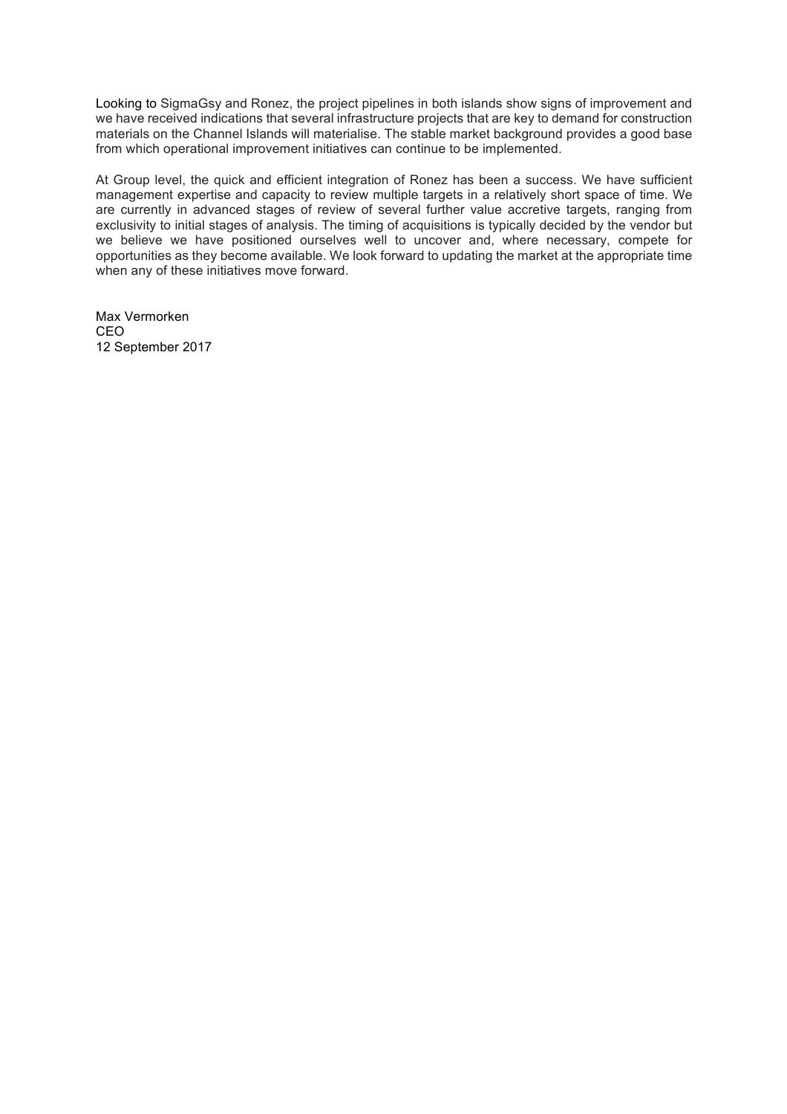Looking to SigmaGsy and Ronez, the project pipelines in both islands show signs of improvement and we have received indications that several infrastructure projects that are key to demand for construction materials on the Channel Islands will materialise. The stable market background provides a good base from which operational improvement initiatives can continue to be implemented.

At Group level, the quick and efficient integration of Ronez has been a success. We have sufficient management expertise and capacity to review multiple targets in a relatively short space of time. We are currently in advanced stages of review of several further value accretive targets, ranging from exclusivity to initial stages of analysis. The timing of acquisitions is typically decided by the vendor but we believe we have positioned ourselves well to uncover and, where necessary, compete for opportunities as they become available. We look forward to updating the market at the appropriate time when any of these initiatives move forward.

Max Vermorken CEO 12 September 2017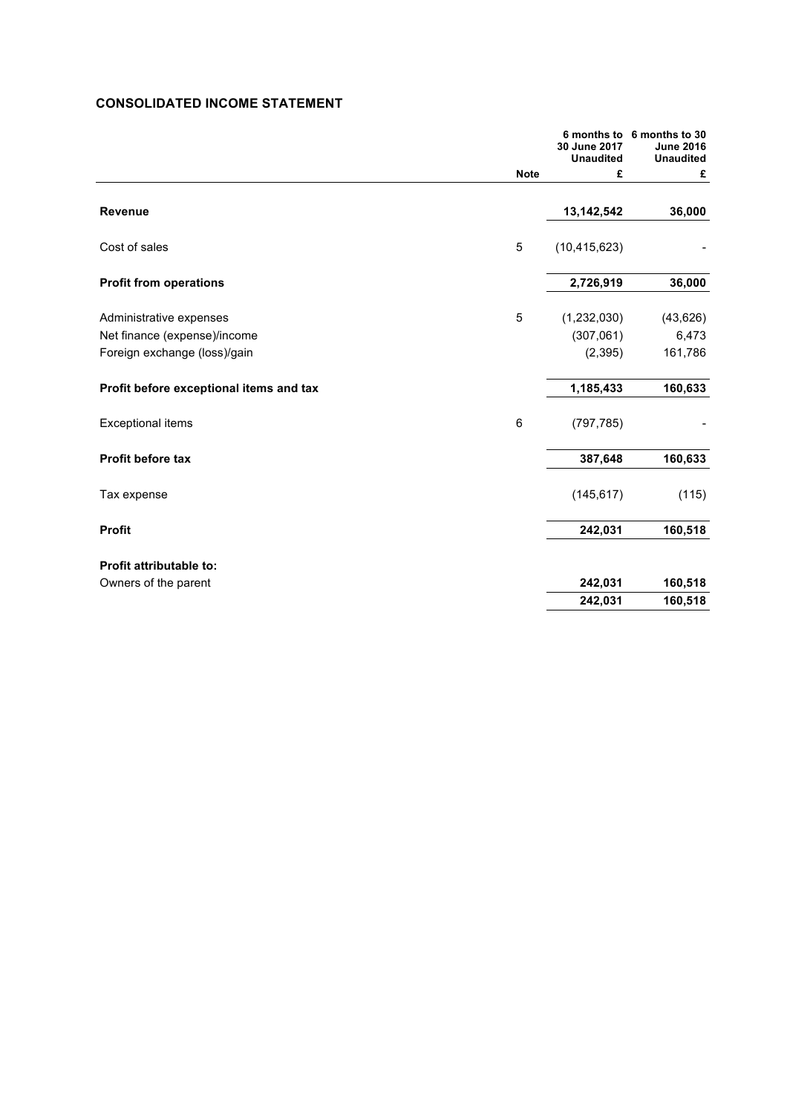# **CONSOLIDATED INCOME STATEMENT**

|                                         |                 | 30 June 2017<br><b>Unaudited</b> | 6 months to 6 months to 30<br><b>June 2016</b><br><b>Unaudited</b> |
|-----------------------------------------|-----------------|----------------------------------|--------------------------------------------------------------------|
|                                         | <b>Note</b>     | £                                | £                                                                  |
| Revenue                                 |                 | 13,142,542                       | 36,000                                                             |
| Cost of sales                           | 5               | (10, 415, 623)                   |                                                                    |
| <b>Profit from operations</b>           |                 | 2,726,919                        | 36,000                                                             |
| Administrative expenses                 | 5               | (1,232,030)                      | (43, 626)                                                          |
| Net finance (expense)/income            |                 | (307,061)                        | 6,473                                                              |
| Foreign exchange (loss)/gain            |                 | (2, 395)                         | 161,786                                                            |
| Profit before exceptional items and tax |                 | 1,185,433                        | 160,633                                                            |
| <b>Exceptional items</b>                | $6\phantom{1}6$ | (797, 785)                       |                                                                    |
| <b>Profit before tax</b>                |                 | 387,648                          | 160,633                                                            |
| Tax expense                             |                 | (145, 617)                       | (115)                                                              |
| <b>Profit</b>                           |                 | 242,031                          | 160,518                                                            |
| <b>Profit attributable to:</b>          |                 |                                  |                                                                    |
| Owners of the parent                    |                 | 242,031                          | 160,518                                                            |
|                                         |                 | 242,031                          | 160,518                                                            |
|                                         |                 |                                  |                                                                    |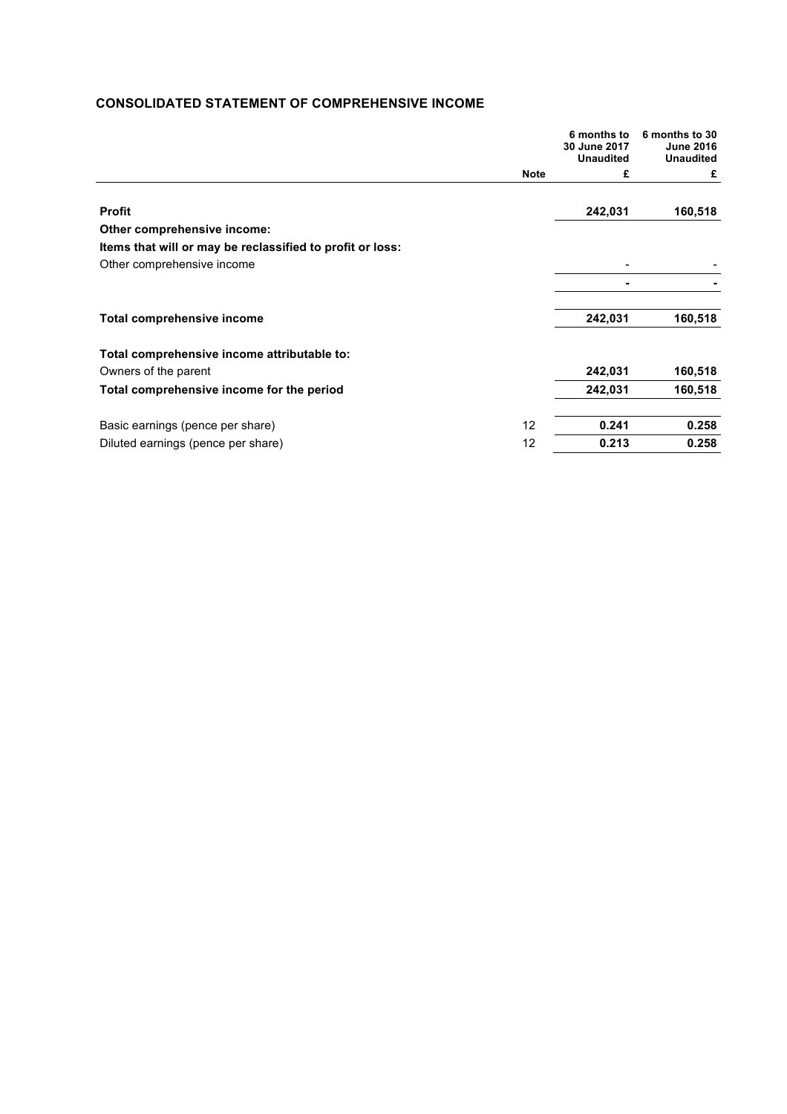# **CONSOLIDATED STATEMENT OF COMPREHENSIVE INCOME**

|                                                           |             | 6 months to<br>30 June 2017 | 6 months to 30<br><b>June 2016</b> |
|-----------------------------------------------------------|-------------|-----------------------------|------------------------------------|
|                                                           |             | <b>Unaudited</b>            | <b>Unaudited</b>                   |
|                                                           | <b>Note</b> | £                           | £                                  |
| <b>Profit</b>                                             |             | 242,031                     | 160,518                            |
| Other comprehensive income:                               |             |                             |                                    |
| Items that will or may be reclassified to profit or loss: |             |                             |                                    |
| Other comprehensive income                                |             |                             |                                    |
|                                                           |             |                             |                                    |
| <b>Total comprehensive income</b>                         |             | 242,031                     | 160,518                            |
| Total comprehensive income attributable to:               |             |                             |                                    |
| Owners of the parent                                      |             | 242,031                     | 160,518                            |
| Total comprehensive income for the period                 |             | 242,031                     | 160,518                            |
| Basic earnings (pence per share)                          | 12          | 0.241                       | 0.258                              |
| Diluted earnings (pence per share)                        | 12          | 0.213                       | 0.258                              |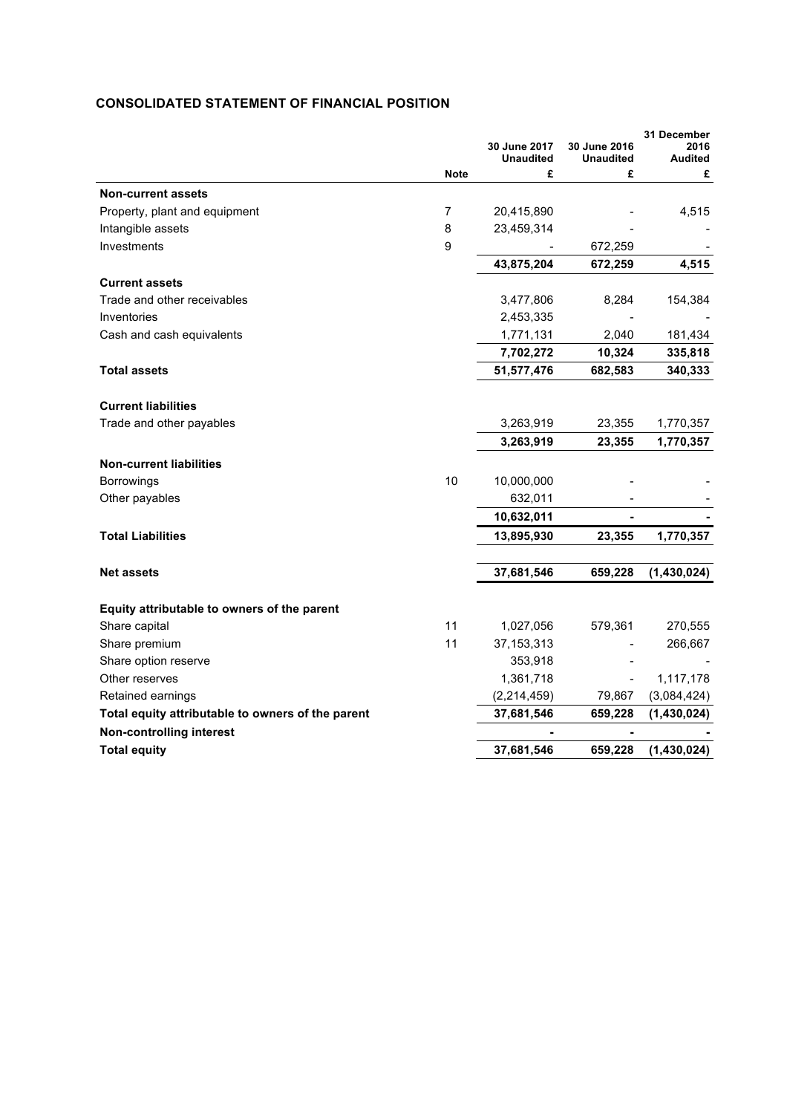# **CONSOLIDATED STATEMENT OF FINANCIAL POSITION**

|                                                   |             | 30 June 2017<br><b>Unaudited</b> | 30 June 2016<br><b>Unaudited</b> | 31 December<br>2016<br><b>Audited</b> |
|---------------------------------------------------|-------------|----------------------------------|----------------------------------|---------------------------------------|
|                                                   | <b>Note</b> | £                                | £                                | £                                     |
| <b>Non-current assets</b>                         |             |                                  |                                  |                                       |
| Property, plant and equipment                     | 7           | 20,415,890                       |                                  | 4,515                                 |
| Intangible assets                                 | 8           | 23,459,314                       |                                  |                                       |
| Investments                                       | 9           |                                  | 672,259                          |                                       |
|                                                   |             | 43,875,204                       | 672,259                          | 4,515                                 |
| <b>Current assets</b>                             |             |                                  |                                  |                                       |
| Trade and other receivables                       |             | 3,477,806                        | 8,284                            | 154,384                               |
| Inventories                                       |             | 2,453,335                        |                                  |                                       |
| Cash and cash equivalents                         |             | 1,771,131                        | 2,040                            | 181,434                               |
|                                                   |             | 7,702,272                        | 10,324                           | 335,818                               |
| <b>Total assets</b>                               |             | 51,577,476                       | 682,583                          | 340,333                               |
|                                                   |             |                                  |                                  |                                       |
| <b>Current liabilities</b>                        |             |                                  |                                  |                                       |
| Trade and other payables                          |             | 3,263,919                        | 23,355                           | 1,770,357                             |
|                                                   |             | 3,263,919                        | 23,355                           | 1,770,357                             |
| <b>Non-current liabilities</b>                    |             |                                  |                                  |                                       |
| Borrowings                                        | 10          | 10,000,000                       |                                  |                                       |
| Other payables                                    |             | 632,011                          |                                  |                                       |
|                                                   |             | 10,632,011                       |                                  |                                       |
| <b>Total Liabilities</b>                          |             | 13,895,930                       | 23,355                           | 1,770,357                             |
| <b>Net assets</b>                                 |             | 37,681,546                       | 659,228                          | (1,430,024)                           |
| Equity attributable to owners of the parent       |             |                                  |                                  |                                       |
| Share capital                                     | 11          | 1,027,056                        | 579,361                          | 270,555                               |
| Share premium                                     | 11          | 37, 153, 313                     |                                  | 266,667                               |
| Share option reserve                              |             | 353,918                          |                                  |                                       |
| Other reserves                                    |             | 1,361,718                        |                                  | 1,117,178                             |
| Retained earnings                                 |             | (2,214,459)                      | 79,867                           | (3,084,424)                           |
| Total equity attributable to owners of the parent |             | 37,681,546                       | 659,228                          | (1,430,024)                           |
| <b>Non-controlling interest</b>                   |             |                                  |                                  |                                       |
| <b>Total equity</b>                               |             | 37,681,546                       | 659,228                          | (1,430,024)                           |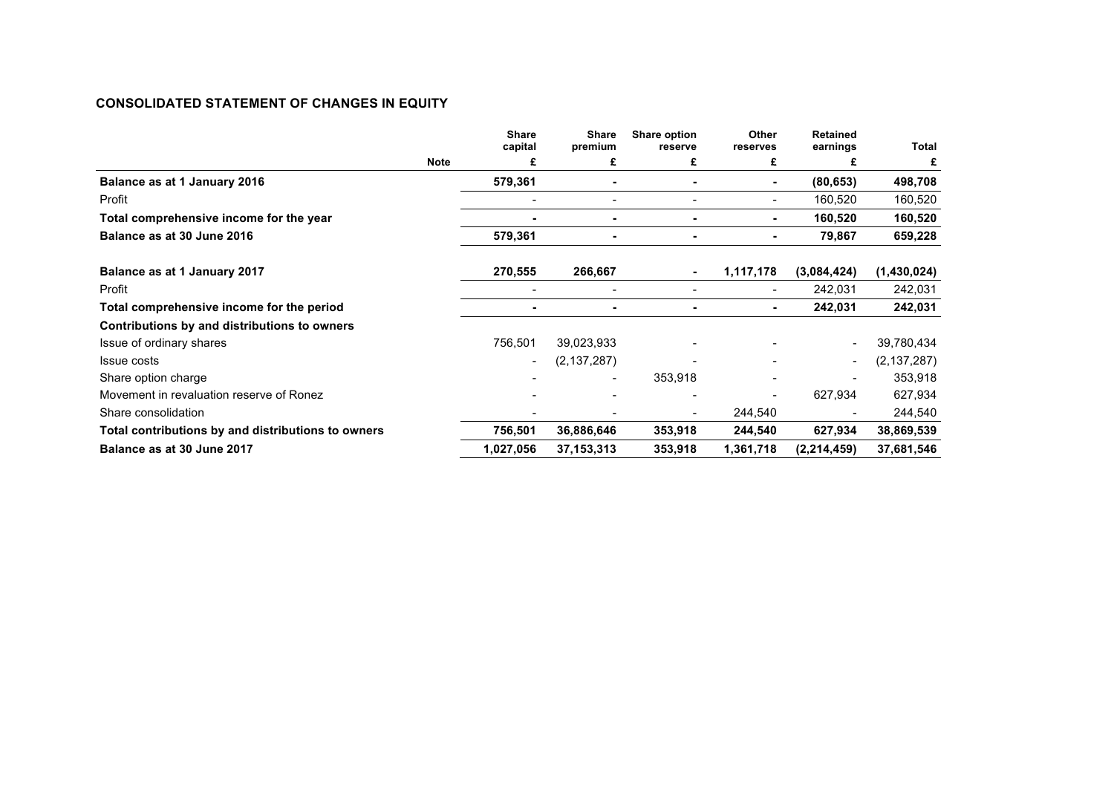# **CONSOLIDATED STATEMENT OF CHANGES IN EQUITY**

|                                                    | <b>Share</b><br>capital  | <b>Share</b><br>premium | Share option<br>reserve | Other<br>reserves | <b>Retained</b><br>earnings | Total         |
|----------------------------------------------------|--------------------------|-------------------------|-------------------------|-------------------|-----------------------------|---------------|
|                                                    | <b>Note</b><br>£         | £                       | £                       | £                 | £                           | £             |
| Balance as at 1 January 2016                       | 579,361                  |                         |                         | ٠                 | (80, 653)                   | 498,708       |
| Profit                                             | $\overline{\phantom{0}}$ |                         | $\qquad \qquad$         |                   | 160,520                     | 160,520       |
| Total comprehensive income for the year            | ٠                        |                         | ۰                       |                   | 160,520                     | 160,520       |
| Balance as at 30 June 2016                         | 579,361                  | ۰                       | ٠                       | ٠                 | 79,867                      | 659,228       |
| Balance as at 1 January 2017                       | 270,555                  | 266,667                 |                         | 1,117,178         | (3,084,424)                 | (1,430,024)   |
| Profit                                             |                          |                         |                         |                   | 242,031                     | 242,031       |
| Total comprehensive income for the period          | $\blacksquare$           | ۰                       |                         | ٠                 | 242,031                     | 242,031       |
| Contributions by and distributions to owners       |                          |                         |                         |                   |                             |               |
| Issue of ordinary shares                           | 756,501                  | 39,023,933              |                         |                   |                             | 39,780,434    |
| Issue costs                                        | $\overline{\phantom{a}}$ | (2, 137, 287)           |                         |                   |                             | (2, 137, 287) |
| Share option charge                                |                          |                         | 353,918                 |                   |                             | 353,918       |
| Movement in revaluation reserve of Ronez           |                          |                         |                         |                   | 627,934                     | 627,934       |
| Share consolidation                                |                          |                         |                         | 244,540           |                             | 244,540       |
| Total contributions by and distributions to owners | 756,501                  | 36,886,646              | 353,918                 | 244,540           | 627,934                     | 38,869,539    |
| Balance as at 30 June 2017                         | 1,027,056                | 37, 153, 313            | 353,918                 | 1,361,718         | (2, 214, 459)               | 37,681,546    |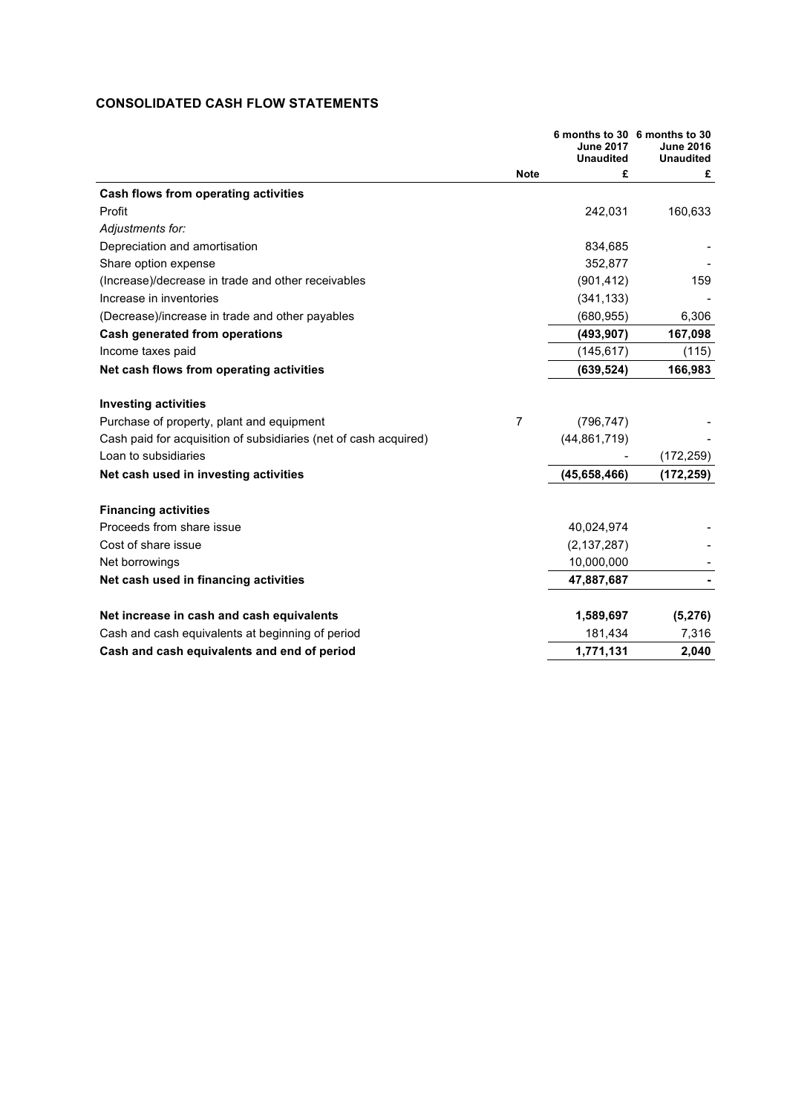# **CONSOLIDATED CASH FLOW STATEMENTS**

|                                                                  |                | <b>June 2017</b><br><b>Unaudited</b> | 6 months to 30 6 months to 30<br><b>June 2016</b><br><b>Unaudited</b> |
|------------------------------------------------------------------|----------------|--------------------------------------|-----------------------------------------------------------------------|
|                                                                  | <b>Note</b>    | £                                    | £                                                                     |
| Cash flows from operating activities                             |                |                                      |                                                                       |
| Profit                                                           |                | 242,031                              | 160,633                                                               |
| Adjustments for:                                                 |                |                                      |                                                                       |
| Depreciation and amortisation                                    |                | 834,685                              |                                                                       |
| Share option expense                                             |                | 352,877                              |                                                                       |
| (Increase)/decrease in trade and other receivables               |                | (901, 412)                           | 159                                                                   |
| Increase in inventories                                          |                | (341, 133)                           |                                                                       |
| (Decrease)/increase in trade and other payables                  |                | (680, 955)                           | 6,306                                                                 |
| <b>Cash generated from operations</b>                            |                | (493, 907)                           | 167,098                                                               |
| Income taxes paid                                                |                | (145, 617)                           | (115)                                                                 |
| Net cash flows from operating activities                         |                | (639, 524)                           | 166,983                                                               |
| <b>Investing activities</b>                                      |                |                                      |                                                                       |
| Purchase of property, plant and equipment                        | $\overline{7}$ | (796, 747)                           |                                                                       |
| Cash paid for acquisition of subsidiaries (net of cash acquired) |                | (44, 861, 719)                       |                                                                       |
| Loan to subsidiaries                                             |                |                                      | (172, 259)                                                            |
| Net cash used in investing activities                            |                | (45,658,466)                         | (172,259)                                                             |
| <b>Financing activities</b>                                      |                |                                      |                                                                       |
| Proceeds from share issue                                        |                | 40,024,974                           |                                                                       |
| Cost of share issue                                              |                | (2, 137, 287)                        |                                                                       |
| Net borrowings                                                   |                | 10,000,000                           |                                                                       |
| Net cash used in financing activities                            |                | 47,887,687                           |                                                                       |
| Net increase in cash and cash equivalents                        |                | 1,589,697                            | (5,276)                                                               |
| Cash and cash equivalents at beginning of period                 |                | 181,434                              | 7,316                                                                 |
| Cash and cash equivalents and end of period                      |                | 1,771,131                            | 2,040                                                                 |
|                                                                  |                |                                      |                                                                       |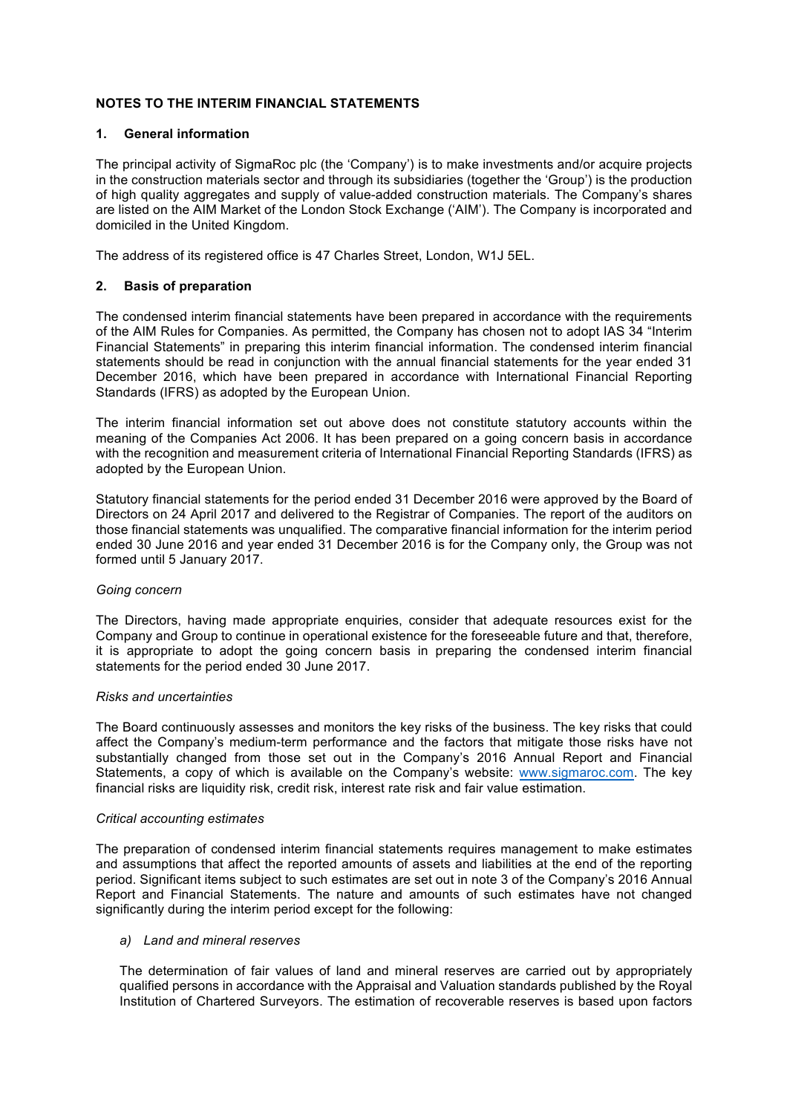# **NOTES TO THE INTERIM FINANCIAL STATEMENTS**

## **1. General information**

The principal activity of SigmaRoc plc (the 'Company') is to make investments and/or acquire projects in the construction materials sector and through its subsidiaries (together the 'Group') is the production of high quality aggregates and supply of value-added construction materials. The Company's shares are listed on the AIM Market of the London Stock Exchange ('AIM'). The Company is incorporated and domiciled in the United Kingdom.

The address of its registered office is 47 Charles Street, London, W1J 5EL.

## **2. Basis of preparation**

The condensed interim financial statements have been prepared in accordance with the requirements of the AIM Rules for Companies. As permitted, the Company has chosen not to adopt IAS 34 "Interim Financial Statements" in preparing this interim financial information. The condensed interim financial statements should be read in conjunction with the annual financial statements for the year ended 31 December 2016, which have been prepared in accordance with International Financial Reporting Standards (IFRS) as adopted by the European Union.

The interim financial information set out above does not constitute statutory accounts within the meaning of the Companies Act 2006. It has been prepared on a going concern basis in accordance with the recognition and measurement criteria of International Financial Reporting Standards (IFRS) as adopted by the European Union.

Statutory financial statements for the period ended 31 December 2016 were approved by the Board of Directors on 24 April 2017 and delivered to the Registrar of Companies. The report of the auditors on those financial statements was unqualified. The comparative financial information for the interim period ended 30 June 2016 and year ended 31 December 2016 is for the Company only, the Group was not formed until 5 January 2017.

#### *Going concern*

The Directors, having made appropriate enquiries, consider that adequate resources exist for the Company and Group to continue in operational existence for the foreseeable future and that, therefore, it is appropriate to adopt the going concern basis in preparing the condensed interim financial statements for the period ended 30 June 2017.

#### *Risks and uncertainties*

The Board continuously assesses and monitors the key risks of the business. The key risks that could affect the Company's medium-term performance and the factors that mitigate those risks have not substantially changed from those set out in the Company's 2016 Annual Report and Financial Statements, a copy of which is available on the Company's website: www.sigmaroc.com. The key financial risks are liquidity risk, credit risk, interest rate risk and fair value estimation.

#### *Critical accounting estimates*

The preparation of condensed interim financial statements requires management to make estimates and assumptions that affect the reported amounts of assets and liabilities at the end of the reporting period. Significant items subject to such estimates are set out in note 3 of the Company's 2016 Annual Report and Financial Statements. The nature and amounts of such estimates have not changed significantly during the interim period except for the following:

#### *a) Land and mineral reserves*

The determination of fair values of land and mineral reserves are carried out by appropriately qualified persons in accordance with the Appraisal and Valuation standards published by the Royal Institution of Chartered Surveyors. The estimation of recoverable reserves is based upon factors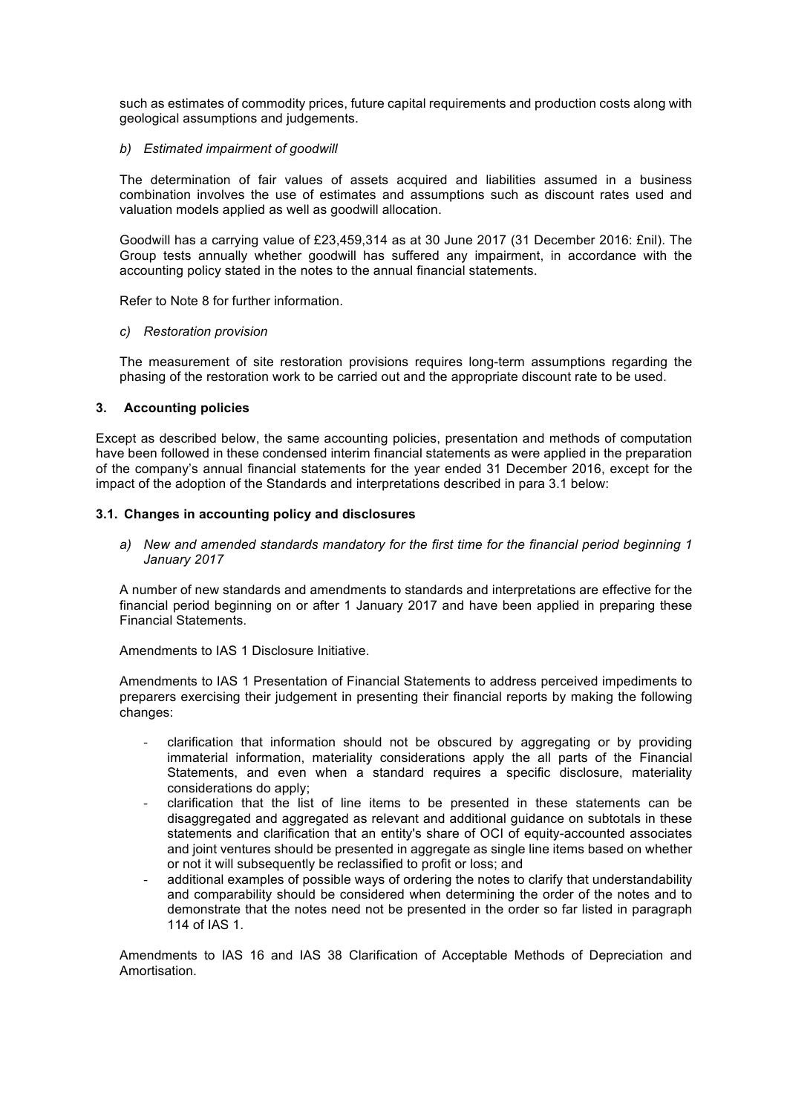such as estimates of commodity prices, future capital requirements and production costs along with geological assumptions and judgements.

#### *b) Estimated impairment of goodwill*

The determination of fair values of assets acquired and liabilities assumed in a business combination involves the use of estimates and assumptions such as discount rates used and valuation models applied as well as goodwill allocation.

Goodwill has a carrying value of £23,459,314 as at 30 June 2017 (31 December 2016: £nil). The Group tests annually whether goodwill has suffered any impairment, in accordance with the accounting policy stated in the notes to the annual financial statements.

Refer to Note 8 for further information.

#### *c) Restoration provision*

The measurement of site restoration provisions requires long-term assumptions regarding the phasing of the restoration work to be carried out and the appropriate discount rate to be used.

#### **3. Accounting policies**

Except as described below, the same accounting policies, presentation and methods of computation have been followed in these condensed interim financial statements as were applied in the preparation of the company's annual financial statements for the year ended 31 December 2016, except for the impact of the adoption of the Standards and interpretations described in para 3.1 below:

#### **3.1. Changes in accounting policy and disclosures**

*a) New and amended standards mandatory for the first time for the financial period beginning 1 January 2017*

A number of new standards and amendments to standards and interpretations are effective for the financial period beginning on or after 1 January 2017 and have been applied in preparing these Financial Statements.

Amendments to IAS 1 Disclosure Initiative.

Amendments to IAS 1 Presentation of Financial Statements to address perceived impediments to preparers exercising their judgement in presenting their financial reports by making the following changes:

- clarification that information should not be obscured by aggregating or by providing immaterial information, materiality considerations apply the all parts of the Financial Statements, and even when a standard requires a specific disclosure, materiality considerations do apply;
- clarification that the list of line items to be presented in these statements can be disaggregated and aggregated as relevant and additional guidance on subtotals in these statements and clarification that an entity's share of OCI of equity-accounted associates and joint ventures should be presented in aggregate as single line items based on whether or not it will subsequently be reclassified to profit or loss; and
- additional examples of possible ways of ordering the notes to clarify that understandability and comparability should be considered when determining the order of the notes and to demonstrate that the notes need not be presented in the order so far listed in paragraph 114 of IAS 1.

Amendments to IAS 16 and IAS 38 Clarification of Acceptable Methods of Depreciation and Amortisation.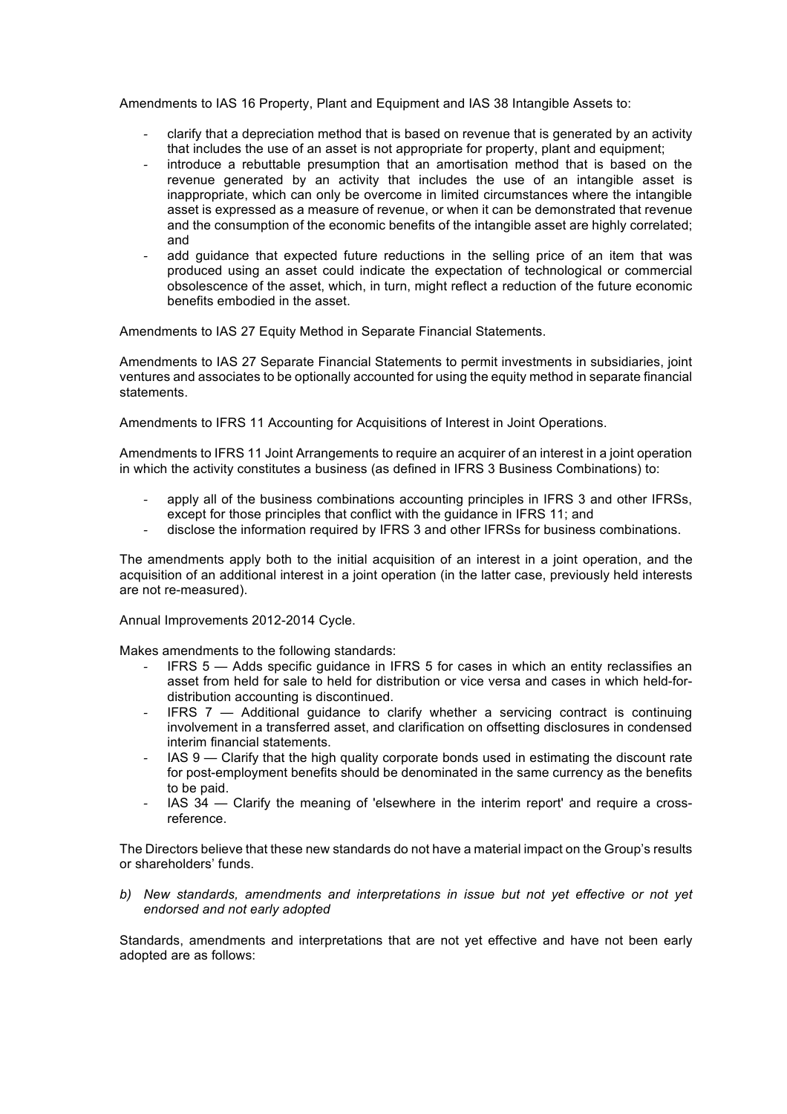Amendments to IAS 16 Property, Plant and Equipment and IAS 38 Intangible Assets to:

- clarify that a depreciation method that is based on revenue that is generated by an activity that includes the use of an asset is not appropriate for property, plant and equipment;
- introduce a rebuttable presumption that an amortisation method that is based on the revenue generated by an activity that includes the use of an intangible asset is inappropriate, which can only be overcome in limited circumstances where the intangible asset is expressed as a measure of revenue, or when it can be demonstrated that revenue and the consumption of the economic benefits of the intangible asset are highly correlated; and
- add guidance that expected future reductions in the selling price of an item that was produced using an asset could indicate the expectation of technological or commercial obsolescence of the asset, which, in turn, might reflect a reduction of the future economic benefits embodied in the asset.

Amendments to IAS 27 Equity Method in Separate Financial Statements.

Amendments to IAS 27 Separate Financial Statements to permit investments in subsidiaries, joint ventures and associates to be optionally accounted for using the equity method in separate financial statements.

Amendments to IFRS 11 Accounting for Acquisitions of Interest in Joint Operations.

Amendments to IFRS 11 Joint Arrangements to require an acquirer of an interest in a joint operation in which the activity constitutes a business (as defined in IFRS 3 Business Combinations) to:

- apply all of the business combinations accounting principles in IFRS 3 and other IFRSs, except for those principles that conflict with the guidance in IFRS 11; and
- disclose the information required by IFRS 3 and other IFRSs for business combinations.

The amendments apply both to the initial acquisition of an interest in a joint operation, and the acquisition of an additional interest in a joint operation (in the latter case, previously held interests are not re-measured).

Annual Improvements 2012-2014 Cycle.

Makes amendments to the following standards:

- IFRS 5 Adds specific quidance in IFRS 5 for cases in which an entity reclassifies an asset from held for sale to held for distribution or vice versa and cases in which held-fordistribution accounting is discontinued.
- IFRS  $7 -$  Additional quidance to clarify whether a servicing contract is continuing involvement in a transferred asset, and clarification on offsetting disclosures in condensed interim financial statements.
- IAS 9 Clarify that the high quality corporate bonds used in estimating the discount rate for post-employment benefits should be denominated in the same currency as the benefits to be paid.
- IAS 34 Clarify the meaning of 'elsewhere in the interim report' and require a crossreference.

The Directors believe that these new standards do not have a material impact on the Group's results or shareholders' funds.

*b) New standards, amendments and interpretations in issue but not yet effective or not yet endorsed and not early adopted*

Standards, amendments and interpretations that are not yet effective and have not been early adopted are as follows: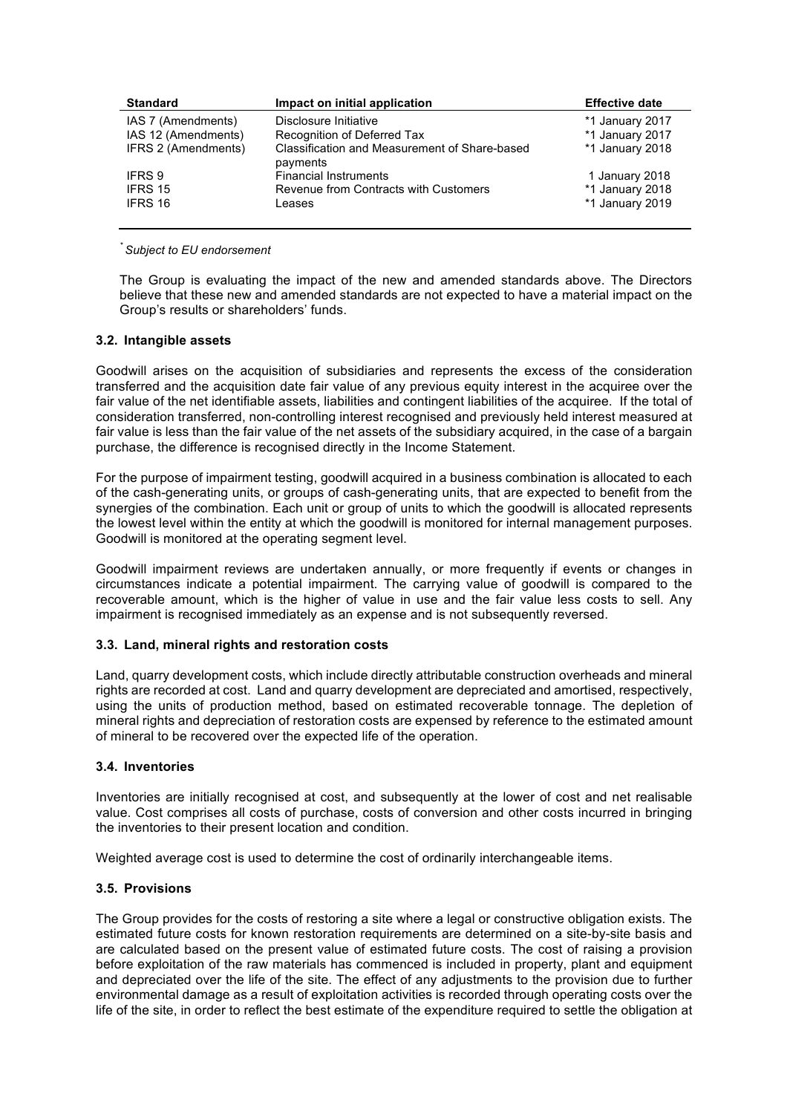| <b>Standard</b>     | Impact on initial application                             | <b>Effective date</b> |
|---------------------|-----------------------------------------------------------|-----------------------|
| IAS 7 (Amendments)  | Disclosure Initiative                                     | *1 January 2017       |
| IAS 12 (Amendments) | Recognition of Deferred Tax                               | *1 January 2017       |
| IFRS 2 (Amendments) | Classification and Measurement of Share-based<br>payments | *1 January 2018       |
| <b>IFRS 9</b>       | <b>Financial Instruments</b>                              | 1 January 2018        |
| IFRS 15             | Revenue from Contracts with Customers                     | *1 January 2018       |
| IFRS 16             | Leases                                                    | *1 January 2019       |

*\* Subject to EU endorsement*

The Group is evaluating the impact of the new and amended standards above. The Directors believe that these new and amended standards are not expected to have a material impact on the Group's results or shareholders' funds.

## **3.2. Intangible assets**

Goodwill arises on the acquisition of subsidiaries and represents the excess of the consideration transferred and the acquisition date fair value of any previous equity interest in the acquiree over the fair value of the net identifiable assets, liabilities and contingent liabilities of the acquiree. If the total of consideration transferred, non-controlling interest recognised and previously held interest measured at fair value is less than the fair value of the net assets of the subsidiary acquired, in the case of a bargain purchase, the difference is recognised directly in the Income Statement.

For the purpose of impairment testing, goodwill acquired in a business combination is allocated to each of the cash-generating units, or groups of cash-generating units, that are expected to benefit from the synergies of the combination. Each unit or group of units to which the goodwill is allocated represents the lowest level within the entity at which the goodwill is monitored for internal management purposes. Goodwill is monitored at the operating segment level.

Goodwill impairment reviews are undertaken annually, or more frequently if events or changes in circumstances indicate a potential impairment. The carrying value of goodwill is compared to the recoverable amount, which is the higher of value in use and the fair value less costs to sell. Any impairment is recognised immediately as an expense and is not subsequently reversed.

## **3.3. Land, mineral rights and restoration costs**

Land, quarry development costs, which include directly attributable construction overheads and mineral rights are recorded at cost. Land and quarry development are depreciated and amortised, respectively, using the units of production method, based on estimated recoverable tonnage. The depletion of mineral rights and depreciation of restoration costs are expensed by reference to the estimated amount of mineral to be recovered over the expected life of the operation.

## **3.4. Inventories**

Inventories are initially recognised at cost, and subsequently at the lower of cost and net realisable value. Cost comprises all costs of purchase, costs of conversion and other costs incurred in bringing the inventories to their present location and condition.

Weighted average cost is used to determine the cost of ordinarily interchangeable items.

#### **3.5. Provisions**

The Group provides for the costs of restoring a site where a legal or constructive obligation exists. The estimated future costs for known restoration requirements are determined on a site-by-site basis and are calculated based on the present value of estimated future costs. The cost of raising a provision before exploitation of the raw materials has commenced is included in property, plant and equipment and depreciated over the life of the site. The effect of any adjustments to the provision due to further environmental damage as a result of exploitation activities is recorded through operating costs over the life of the site, in order to reflect the best estimate of the expenditure required to settle the obligation at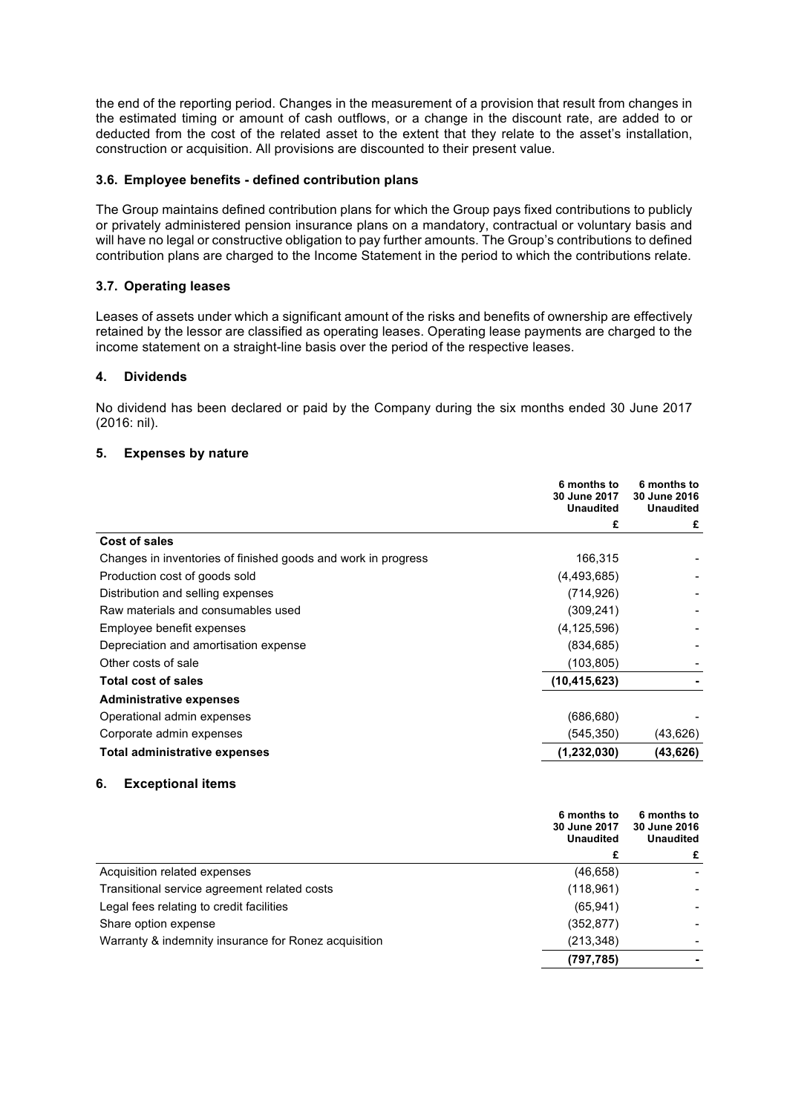the end of the reporting period. Changes in the measurement of a provision that result from changes in the estimated timing or amount of cash outflows, or a change in the discount rate, are added to or deducted from the cost of the related asset to the extent that they relate to the asset's installation, construction or acquisition. All provisions are discounted to their present value.

## **3.6. Employee benefits - defined contribution plans**

The Group maintains defined contribution plans for which the Group pays fixed contributions to publicly or privately administered pension insurance plans on a mandatory, contractual or voluntary basis and will have no legal or constructive obligation to pay further amounts. The Group's contributions to defined contribution plans are charged to the Income Statement in the period to which the contributions relate.

## **3.7. Operating leases**

Leases of assets under which a significant amount of the risks and benefits of ownership are effectively retained by the lessor are classified as operating leases. Operating lease payments are charged to the income statement on a straight-line basis over the period of the respective leases.

## **4. Dividends**

No dividend has been declared or paid by the Company during the six months ended 30 June 2017 (2016: nil).

## **5. Expenses by nature**

|                                                               | 6 months to<br>30 June 2017<br><b>Unaudited</b> | 6 months to<br>30 June 2016<br><b>Unaudited</b> |
|---------------------------------------------------------------|-------------------------------------------------|-------------------------------------------------|
|                                                               | £                                               | £                                               |
| Cost of sales                                                 |                                                 |                                                 |
| Changes in inventories of finished goods and work in progress | 166,315                                         |                                                 |
| Production cost of goods sold                                 | (4,493,685)                                     |                                                 |
| Distribution and selling expenses                             | (714,926)                                       |                                                 |
| Raw materials and consumables used                            | (309, 241)                                      |                                                 |
| Employee benefit expenses                                     | (4, 125, 596)                                   |                                                 |
| Depreciation and amortisation expense                         | (834, 685)                                      |                                                 |
| Other costs of sale                                           | (103,805)                                       |                                                 |
| Total cost of sales                                           | (10, 415, 623)                                  |                                                 |
| <b>Administrative expenses</b>                                |                                                 |                                                 |
| Operational admin expenses                                    | (686, 680)                                      |                                                 |
| Corporate admin expenses                                      | (545, 350)                                      | (43,626)                                        |
| <b>Total administrative expenses</b>                          | (1,232,030)                                     | (43,626)                                        |

#### **6. Exceptional items**

|                                                      | 6 months to<br>30 June 2017<br><b>Unaudited</b> | 6 months to<br>30 June 2016<br><b>Unaudited</b> |
|------------------------------------------------------|-------------------------------------------------|-------------------------------------------------|
|                                                      |                                                 | £                                               |
| Acquisition related expenses                         | (46, 658)                                       |                                                 |
| Transitional service agreement related costs         | (118, 961)                                      |                                                 |
| Legal fees relating to credit facilities             | (65, 941)                                       |                                                 |
| Share option expense                                 | (352,877)                                       |                                                 |
| Warranty & indemnity insurance for Ronez acquisition | (213, 348)                                      |                                                 |
|                                                      | (797,785)                                       |                                                 |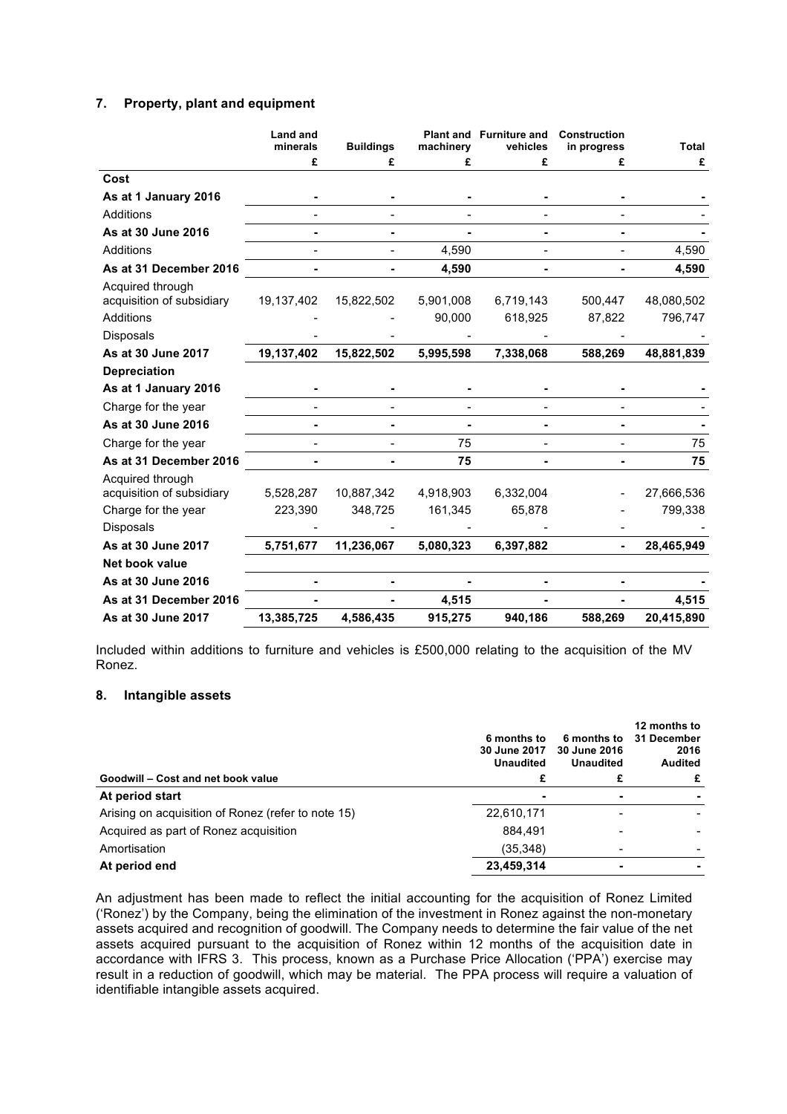## **7. Property, plant and equipment**

|                                               | <b>Land and</b><br>minerals | <b>Buildings</b> | machinery | Plant and Furniture and<br>vehicles | Construction<br>in progress | <b>Total</b> |
|-----------------------------------------------|-----------------------------|------------------|-----------|-------------------------------------|-----------------------------|--------------|
|                                               | £                           | £                | £         | £                                   | £                           | £            |
| Cost                                          |                             |                  |           |                                     |                             |              |
| As at 1 January 2016                          |                             |                  |           |                                     |                             |              |
| Additions                                     |                             |                  |           |                                     |                             |              |
| As at 30 June 2016                            |                             |                  |           |                                     |                             |              |
| <b>Additions</b>                              |                             |                  | 4,590     |                                     |                             | 4,590        |
| As at 31 December 2016                        |                             |                  | 4,590     |                                     |                             | 4,590        |
| Acquired through<br>acquisition of subsidiary | 19,137,402                  | 15,822,502       | 5,901,008 | 6,719,143                           | 500,447                     | 48,080,502   |
| Additions                                     |                             |                  | 90,000    | 618,925                             | 87,822                      | 796,747      |
| Disposals                                     |                             |                  |           |                                     |                             |              |
| As at 30 June 2017                            | 19,137,402                  | 15,822,502       | 5,995,598 | 7,338,068                           | 588,269                     | 48,881,839   |
| <b>Depreciation</b>                           |                             |                  |           |                                     |                             |              |
| As at 1 January 2016                          |                             |                  |           |                                     |                             |              |
| Charge for the year                           |                             |                  |           |                                     |                             |              |
| As at 30 June 2016                            |                             |                  |           |                                     |                             |              |
| Charge for the year                           |                             |                  | 75        |                                     |                             | 75           |
| As at 31 December 2016                        |                             |                  | 75        |                                     |                             | 75           |
| Acquired through<br>acquisition of subsidiary | 5,528,287                   | 10,887,342       | 4,918,903 | 6,332,004                           |                             | 27,666,536   |
| Charge for the year                           | 223,390                     | 348,725          | 161,345   | 65,878                              |                             | 799,338      |
| Disposals                                     |                             |                  |           |                                     |                             |              |
| As at 30 June 2017                            | 5,751,677                   | 11,236,067       | 5,080,323 | 6,397,882                           |                             | 28,465,949   |
| Net book value                                |                             |                  |           |                                     |                             |              |
| As at 30 June 2016                            |                             |                  |           |                                     |                             |              |
| As at 31 December 2016                        |                             |                  | 4,515     |                                     |                             | 4,515        |
| As at 30 June 2017                            | 13,385,725                  | 4.586.435        | 915,275   | 940.186                             | 588.269                     | 20,415,890   |

Included within additions to furniture and vehicles is £500,000 relating to the acquisition of the MV Ronez.

## **8. Intangible assets**

|                                                    | 6 months to<br>30 June 2017<br><b>Unaudited</b> | 6 months to<br>30 June 2016<br><b>Unaudited</b> | 12 months to<br>31 December<br>2016<br><b>Audited</b> |
|----------------------------------------------------|-------------------------------------------------|-------------------------------------------------|-------------------------------------------------------|
| Goodwill – Cost and net book value                 |                                                 |                                                 | £                                                     |
| At period start                                    |                                                 | ۰                                               |                                                       |
| Arising on acquisition of Ronez (refer to note 15) | 22,610,171                                      |                                                 |                                                       |
| Acquired as part of Ronez acquisition              | 884.491                                         |                                                 |                                                       |
| Amortisation                                       | (35, 348)                                       | $\overline{\phantom{0}}$                        |                                                       |
| At period end                                      | 23,459,314                                      | ٠                                               |                                                       |

An adjustment has been made to reflect the initial accounting for the acquisition of Ronez Limited ('Ronez') by the Company, being the elimination of the investment in Ronez against the non-monetary assets acquired and recognition of goodwill. The Company needs to determine the fair value of the net assets acquired pursuant to the acquisition of Ronez within 12 months of the acquisition date in accordance with IFRS 3. This process, known as a Purchase Price Allocation ('PPA') exercise may result in a reduction of goodwill, which may be material. The PPA process will require a valuation of identifiable intangible assets acquired.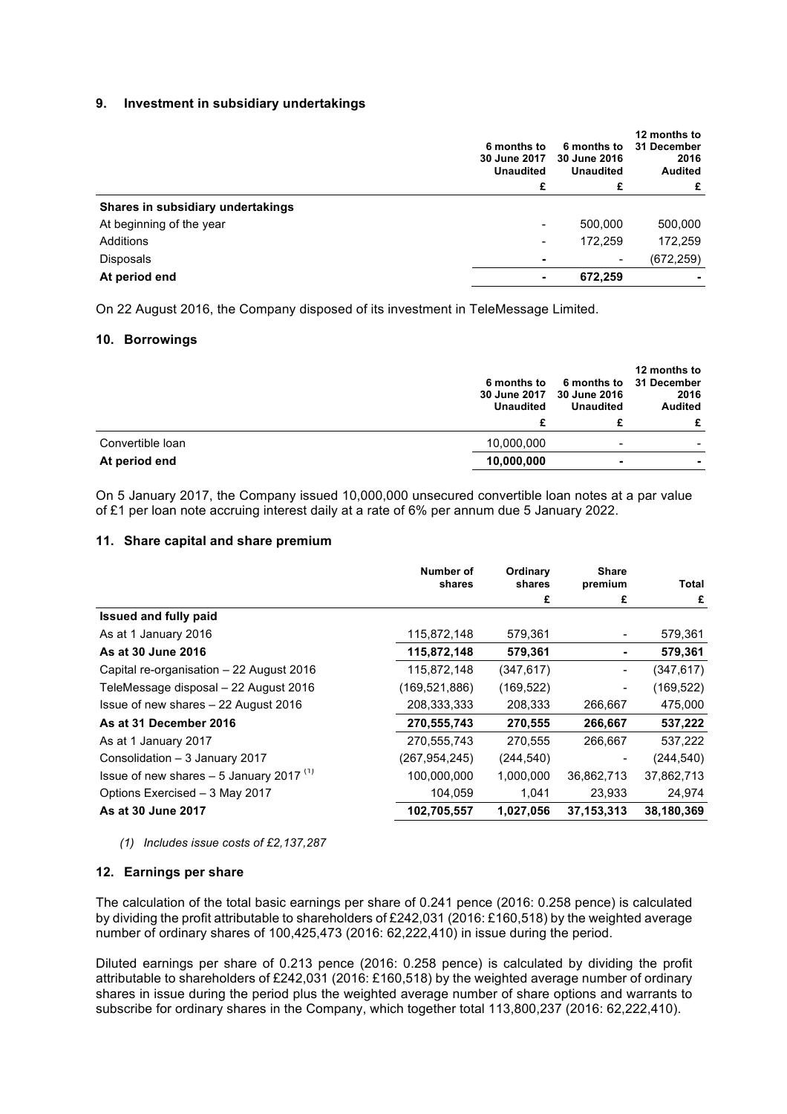#### **9. Investment in subsidiary undertakings**

|                                   | 6 months to<br>30 June 2017<br><b>Unaudited</b><br>£ | 6 months to<br>30 June 2016<br><b>Unaudited</b><br>£ | 12 months to<br>31 December<br>2016<br><b>Audited</b><br>£ |
|-----------------------------------|------------------------------------------------------|------------------------------------------------------|------------------------------------------------------------|
| Shares in subsidiary undertakings |                                                      |                                                      |                                                            |
| At beginning of the year          |                                                      | 500,000                                              | 500,000                                                    |
| Additions                         | -                                                    | 172,259                                              | 172,259                                                    |
| Disposals                         |                                                      | -                                                    | (672, 259)                                                 |
| At period end                     |                                                      | 672,259                                              |                                                            |

On 22 August 2016, the Company disposed of its investment in TeleMessage Limited.

#### **10. Borrowings**

|                  | 6 months to<br><b>30 June 2017</b><br><b>Unaudited</b> | 6 months to<br>30 June 2016<br><b>Unaudited</b> | 12 months to<br>31 December<br>2016<br><b>Audited</b><br>£ |
|------------------|--------------------------------------------------------|-------------------------------------------------|------------------------------------------------------------|
| Convertible loan | 10,000,000                                             | $\blacksquare$                                  | -                                                          |
| At period end    | 10,000,000                                             | ٠                                               |                                                            |

On 5 January 2017, the Company issued 10,000,000 unsecured convertible loan notes at a par value of £1 per loan note accruing interest daily at a rate of 6% per annum due 5 January 2022.

#### **11. Share capital and share premium**

|                                                      | Number of<br>shares | Ordinary<br>shares | <b>Share</b><br>premium | Total      |
|------------------------------------------------------|---------------------|--------------------|-------------------------|------------|
|                                                      |                     | £                  | £                       | £          |
| <b>Issued and fully paid</b>                         |                     |                    |                         |            |
| As at 1 January 2016                                 | 115,872,148         | 579,361            | $\blacksquare$          | 579,361    |
| As at 30 June 2016                                   | 115,872,148         | 579,361            |                         | 579,361    |
| Capital re-organisation - 22 August 2016             | 115,872,148         | (347, 617)         | $\overline{a}$          | (347, 617) |
| TeleMessage disposal – 22 August 2016                | (169, 521, 886)     | (169, 522)         | -                       | (169, 522) |
| Issue of new shares - 22 August 2016                 | 208,333,333         | 208,333            | 266,667                 | 475,000    |
| As at 31 December 2016                               | 270,555,743         | 270.555            | 266,667                 | 537,222    |
| As at 1 January 2017                                 | 270,555,743         | 270,555            | 266,667                 | 537,222    |
| Consolidation - 3 January 2017                       | (267,954,245)       | (244, 540)         |                         | (244, 540) |
| Issue of new shares $-5$ January 2017 <sup>(1)</sup> | 100,000,000         | 1,000,000          | 36,862,713              | 37,862,713 |
| Options Exercised - 3 May 2017                       | 104,059             | 1,041              | 23,933                  | 24,974     |
| As at 30 June 2017                                   | 102,705,557         | 1,027,056          | 37, 153, 313            | 38,180,369 |

#### *(1) Includes issue costs of £2,137,287*

#### **12. Earnings per share**

The calculation of the total basic earnings per share of 0.241 pence (2016: 0.258 pence) is calculated by dividing the profit attributable to shareholders of £242,031 (2016: £160,518) by the weighted average number of ordinary shares of 100,425,473 (2016: 62,222,410) in issue during the period.

Diluted earnings per share of 0.213 pence (2016: 0.258 pence) is calculated by dividing the profit attributable to shareholders of £242,031 (2016: £160,518) by the weighted average number of ordinary shares in issue during the period plus the weighted average number of share options and warrants to subscribe for ordinary shares in the Company, which together total 113,800,237 (2016: 62,222,410).